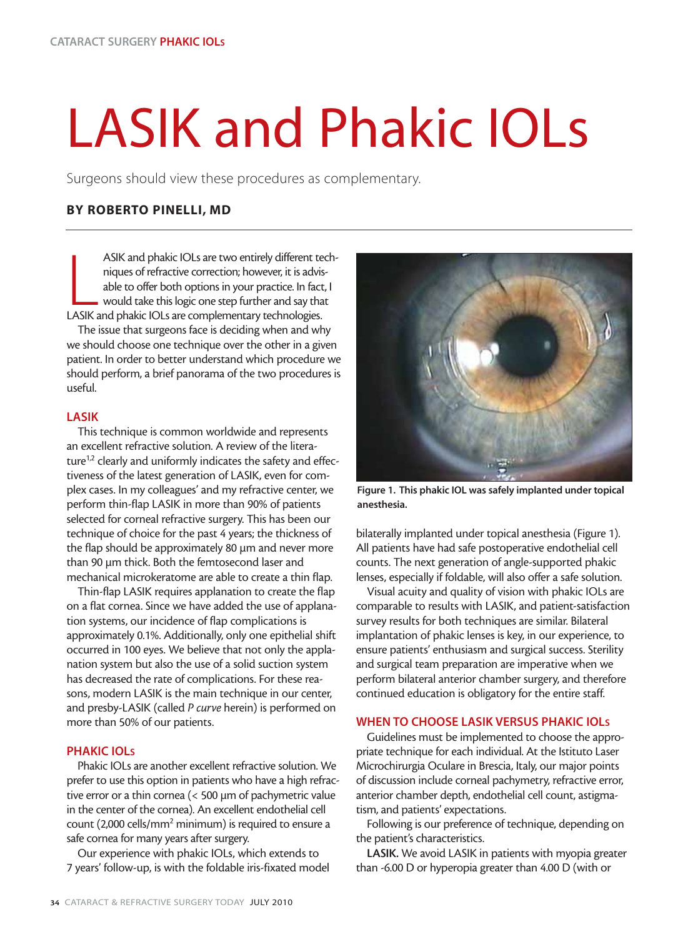# LASIK and Phakic IOLs

Surgeons should view these procedures as complementary.

# **BY ROBERTO PINELLI, MD**

ASIK and phakic IOLs are two entirely different te<br>niques of refractive correction; however, it is advis<br>able to offer both options in your practice. In fact<br>would take this logic one step further and say tha<br>LASIK and pha ASIK and phakic IOLs are two entirely different techniques of refractive correction; however, it is advisable to offer both options in your practice. In fact, I would take this logic one step further and say that

The issue that surgeons face is deciding when and why we should choose one technique over the other in a given patient. In order to better understand which procedure we should perform, a brief panorama of the two procedures is useful.

## **LASIK**

This technique is common worldwide and represents an excellent refractive solution. A review of the literature<sup>1,2</sup> clearly and uniformly indicates the safety and effectiveness of the latest generation of LASIK, even for complex cases. In my colleagues' and my refractive center, we perform thin-flap LASIK in more than 90% of patients selected for corneal refractive surgery. This has been our technique of choice for the past 4 years; the thickness of the flap should be approximately 80 µm and never more than 90 µm thick. Both the femtosecond laser and mechanical microkeratome are able to create a thin flap.

Thin-flap LASIK requires applanation to create the flap on a flat cornea. Since we have added the use of applanation systems, our incidence of flap complications is approximately 0.1%. Additionally, only one epithelial shift occurred in 100 eyes. We believe that not only the applanation system but also the use of a solid suction system has decreased the rate of complications. For these reasons, modern LASIK is the main technique in our center, and presby-LASIK (called *P curve* herein) is performed on more than 50% of our patients.

# **PHAKIC IOLS**

Phakic IOLs are another excellent refractive solution. We prefer to use this option in patients who have a high refractive error or a thin cornea (< 500 µm of pachymetric value in the center of the cornea). An excellent endothelial cell count (2,000 cells/mm2 minimum) is required to ensure a safe cornea for many years after surgery.

Our experience with phakic IOLs, which extends to 7 years' follow-up, is with the foldable iris-fixated model



**Figure 1. This phakic IOL was safely implanted under topical anesthesia.**

bilaterally implanted under topical anesthesia (Figure 1). All patients have had safe postoperative endothelial cell counts. The next generation of angle-supported phakic lenses, especially if foldable, will also offer a safe solution.

Visual acuity and quality of vision with phakic IOLs are comparable to results with LASIK, and patient-satisfaction survey results for both techniques are similar. Bilateral implantation of phakic lenses is key, in our experience, to ensure patients' enthusiasm and surgical success. Sterility and surgical team preparation are imperative when we perform bilateral anterior chamber surgery, and therefore continued education is obligatory for the entire staff.

## **WHEN TO CHOOSE LASIK VERSUS PHAKIC IOLS**

Guidelines must be implemented to choose the appropriate technique for each individual. At the Istituto Laser Microchirurgia Oculare in Brescia, Italy, our major points of discussion include corneal pachymetry, refractive error, anterior chamber depth, endothelial cell count, astigmatism, and patients' expectations.

Following is our preference of technique, depending on the patient's characteristics.

**LASIK.** We avoid LASIK in patients with myopia greater than -6.00 D or hyperopia greater than 4.00 D (with or